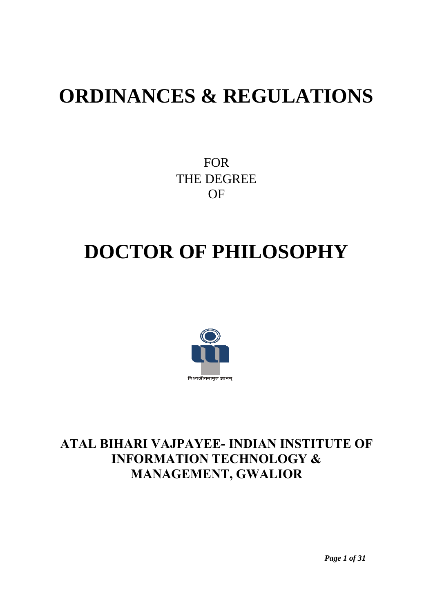# **ORDINANCES & REGULATIONS**

FOR THE DEGREE OF

# **DOCTOR OF PHILOSOPHY**



# ATAL BIHARI VAJPAYEE- INDIAN INSTITUTE OF INFORMATION TECHNOLOGY & MANAGEMENT, GWALIOR

*Page 1 of 31*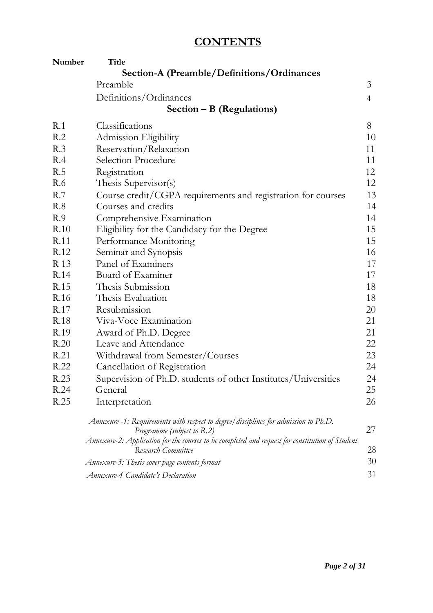# **CONTENTS**

| Number | <b>Title</b>                                                                                                          |                 |
|--------|-----------------------------------------------------------------------------------------------------------------------|-----------------|
|        | <b>Section-A (Preamble/Definitions/Ordinances)</b>                                                                    |                 |
|        | Preamble                                                                                                              | $\mathfrak{Z}$  |
|        | Definitions/Ordinances                                                                                                | $\overline{4}$  |
|        | Section $- B$ (Regulations)                                                                                           |                 |
| R.1    | Classifications                                                                                                       | 8               |
| R.2    | Admission Eligibility                                                                                                 | 10              |
| R.3    | Reservation/Relaxation                                                                                                | 11              |
| R.4    | Selection Procedure                                                                                                   | 11              |
| R.5    | Registration                                                                                                          | 12              |
| R.6    | Thesis Supervisor(s)                                                                                                  | 12              |
| R.7    | Course credit/CGPA requirements and registration for courses                                                          | 13              |
| R.8    | Courses and credits                                                                                                   | 14              |
| R.9    | Comprehensive Examination                                                                                             | 14              |
| R.10   | Eligibility for the Candidacy for the Degree                                                                          | 15              |
| R.11   | Performance Monitoring                                                                                                | 15              |
| R.12   | Seminar and Synopsis                                                                                                  | 16              |
| R 13   | Panel of Examiners                                                                                                    | 17              |
| R.14   | Board of Examiner                                                                                                     | 17              |
| R.15   | Thesis Submission                                                                                                     | 18              |
| R.16   | Thesis Evaluation                                                                                                     | 18              |
| R.17   | Resubmission                                                                                                          | 20              |
| R.18   | Viva-Voce Examination                                                                                                 | 21              |
| R.19   | Award of Ph.D. Degree                                                                                                 | 21              |
| R.20   | Leave and Attendance                                                                                                  | 22              |
| R.21   | Withdrawal from Semester/Courses                                                                                      | 23              |
| R.22   | Cancellation of Registration                                                                                          | 24              |
| R.23   | Supervision of Ph.D. students of other Institutes/Universities                                                        | 24              |
| R.24   | General                                                                                                               | 25              |
| R.25   | Interpretation                                                                                                        | 26              |
|        | Annexure -1: Requirements with respect to degree/disciplines for admission to Ph.D.<br>Programme (subject to R.2)     | 27              |
|        | Annexure-2: Application for the courses to be completed and request for constitution of Student<br>Research Committee | 28              |
|        | Annexure-3: Thesis cover page contents format                                                                         | 30 <sup>°</sup> |
|        | <b>Annexure-4 Candidate's Declaration</b>                                                                             | 31              |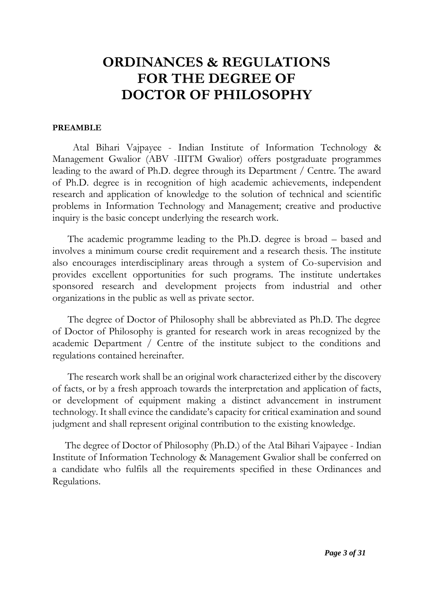# **ORDINANCES & REGULATIONS FOR THE DEGREE OF DOCTOR OF PHILOSOPHY**

#### **PREAMBLE**

Atal Bihari Vajpayee - Indian Institute of Information Technology & Management Gwalior (ABV -IIITM Gwalior) offers postgraduate programmes leading to the award of Ph.D. degree through its Department / Centre. The award of Ph.D. degree is in recognition of high academic achievements, independent research and application of knowledge to the solution of technical and scientific problems in Information Technology and Management; creative and productive inquiry is the basic concept underlying the research work.

The academic programme leading to the Ph.D. degree is broad – based and involves a minimum course credit requirement and a research thesis. The institute also encourages interdisciplinary areas through a system of Co-supervision and provides excellent opportunities for such programs. The institute undertakes sponsored research and development projects from industrial and other organizations in the public as well as private sector.

The degree of Doctor of Philosophy shall be abbreviated as Ph.D. The degree of Doctor of Philosophy is granted for research work in areas recognized by the academic Department / Centre of the institute subject to the conditions and regulations contained hereinafter.

The research work shall be an original work characterized either by the discovery of facts, or by a fresh approach towards the interpretation and application of facts, or development of equipment making a distinct advancement in instrument technology. It shall evince the candidate's capacity for critical examination and sound judgment and shall represent original contribution to the existing knowledge.

The degree of Doctor of Philosophy (Ph.D.) of the Atal Bihari Vajpayee - Indian Institute of Information Technology & Management Gwalior shall be conferred on a candidate who fulfils all the requirements specified in these Ordinances and Regulations.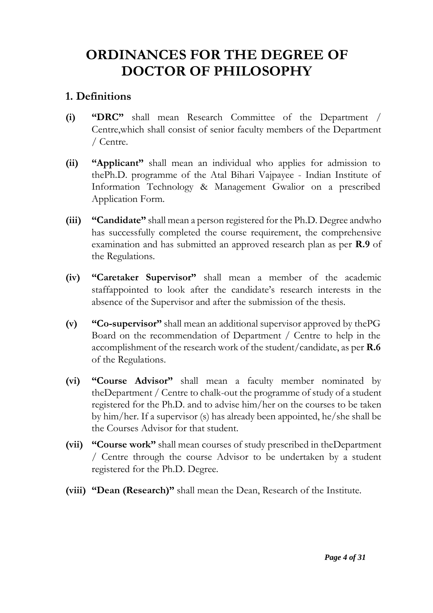# **ORDINANCES FOR THE DEGREE OF DOCTOR OF PHILOSOPHY**

### **1. Definitions**

- **(i) "DRC"** shall mean Research Committee of the Department / Centre,which shall consist of senior faculty members of the Department / Centre.
- **(ii) "Applicant"** shall mean an individual who applies for admission to thePh.D. programme of the Atal Bihari Vajpayee - Indian Institute of Information Technology & Management Gwalior on a prescribed Application Form.
- **(iii) "Candidate"** shall mean a person registered for the Ph.D. Degree andwho has successfully completed the course requirement, the comprehensive examination and has submitted an approved research plan as per **R.9** of the Regulations.
- **(iv) "Caretaker Supervisor"** shall mean a member of the academic staffappointed to look after the candidate's research interests in the absence of the Supervisor and after the submission of the thesis.
- **(v) "Co-supervisor"** shall mean an additional supervisor approved by thePG Board on the recommendation of Department / Centre to help in the accomplishment of the research work of the student/candidate, as per **R.6** of the Regulations.
- **(vi) "Course Advisor"** shall mean a faculty member nominated by theDepartment / Centre to chalk-out the programme of study of a student registered for the Ph.D. and to advise him/her on the courses to be taken by him/her. If a supervisor (s) has already been appointed, he/she shall be the Courses Advisor for that student.
- **(vii) "Course work"** shall mean courses of study prescribed in theDepartment / Centre through the course Advisor to be undertaken by a student registered for the Ph.D. Degree.
- **(viii) "Dean (Research)"** shall mean the Dean, Research of the Institute.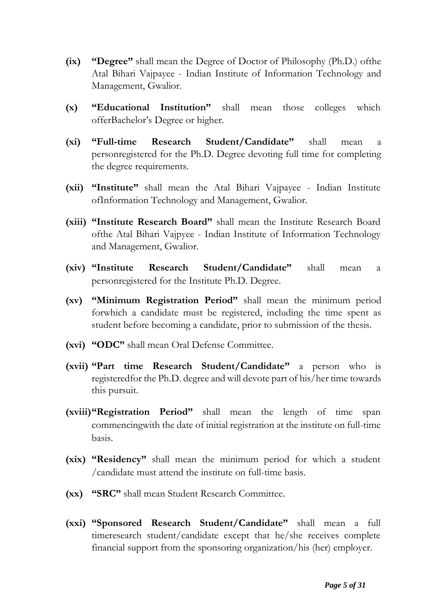- **(ix) "Degree"** shall mean the Degree of Doctor of Philosophy (Ph.D.) ofthe Atal Bihari Vajpayee - Indian Institute of Information Technology and Management, Gwalior.
- **(x) "Educational Institution"** shall mean those colleges which offerBachelor's Degree or higher.
- **(xi) "Full-time Research Student/Candidate"** shall mean a personregistered for the Ph.D. Degree devoting full time for completing the degree requirements.
- **(xii) "Institute"** shall mean the Atal Bihari Vajpayee Indian Institute ofInformation Technology and Management, Gwalior.
- **(xiii) "Institute Research Board"** shall mean the Institute Research Board ofthe Atal Bihari Vajpyee - Indian Institute of Information Technology and Management, Gwalior.
- **(xiv) "Institute Research Student/Candidate"** shall mean a personregistered for the Institute Ph.D. Degree.
- **(xv) "Minimum Registration Period"** shall mean the minimum period forwhich a candidate must be registered, including the time spent as student before becoming a candidate, prior to submission of the thesis.
- **(xvi) "ODC"** shall mean Oral Defense Committee.
- **(xvii) "Part time Research Student/Candidate"** a person who is registeredfor the Ph.D. degree and will devote part of his/her time towards this pursuit.
- **(xviii)"Registration Period"** shall mean the length of time span commencingwith the date of initial registration at the institute on full-time basis.
- **(xix) "Residency"** shall mean the minimum period for which a student /candidate must attend the institute on full-time basis.
- **(xx) "SRC"** shall mean Student Research Committee.
- **(xxi) "Sponsored Research Student/Candidate"** shall mean a full timeresearch student/candidate except that he/she receives complete financial support from the sponsoring organization/his (her) employer.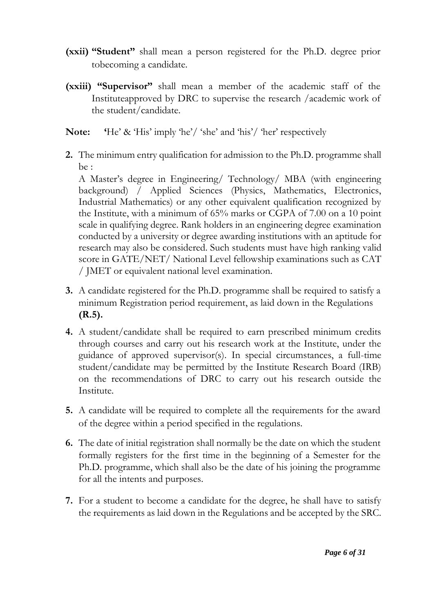- **(xxii) "Student"** shall mean a person registered for the Ph.D. degree prior tobecoming a candidate.
- **(xxiii) "Supervisor"** shall mean a member of the academic staff of the Instituteapproved by DRC to supervise the research /academic work of the student/candidate.
- **Note: '**He' & 'His' imply 'he'/ 'she' and 'his'/ 'her' respectively
- **2.** The minimum entry qualification for admission to the Ph.D. programme shall be :

A Master's degree in Engineering/ Technology/ MBA (with engineering background) / Applied Sciences (Physics, Mathematics, Electronics, Industrial Mathematics) or any other equivalent qualification recognized by the Institute, with a minimum of 65% marks or CGPA of 7.00 on a 10 point scale in qualifying degree. Rank holders in an engineering degree examination conducted by a university or degree awarding institutions with an aptitude for research may also be considered. Such students must have high ranking valid score in GATE/NET/ National Level fellowship examinations such as CAT / JMET or equivalent national level examination.

- **3.** A candidate registered for the Ph.D. programme shall be required to satisfy a minimum Registration period requirement, as laid down in the Regulations **(R.5).**
- **4.** A student/candidate shall be required to earn prescribed minimum credits through courses and carry out his research work at the Institute, under the guidance of approved supervisor(s). In special circumstances, a full-time student/candidate may be permitted by the Institute Research Board (IRB) on the recommendations of DRC to carry out his research outside the Institute.
- **5.** A candidate will be required to complete all the requirements for the award of the degree within a period specified in the regulations.
- **6.** The date of initial registration shall normally be the date on which the student formally registers for the first time in the beginning of a Semester for the Ph.D. programme, which shall also be the date of his joining the programme for all the intents and purposes.
- **7.** For a student to become a candidate for the degree, he shall have to satisfy the requirements as laid down in the Regulations and be accepted by the SRC.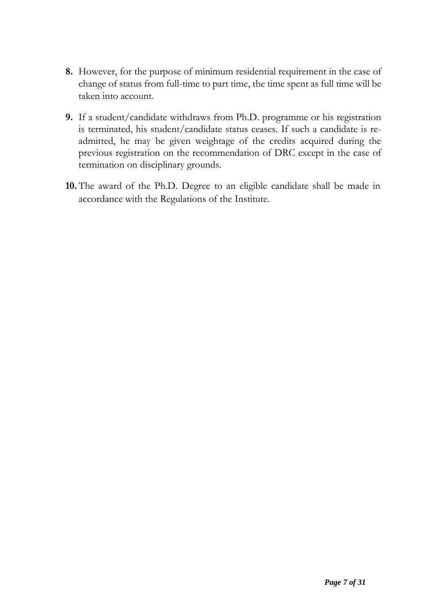- **8.** However, for the purpose of minimum residential requirement in the case of change of status from full-time to part time, the time spent as full time will be taken into account.
- **9.** If a student/candidate withdraws from Ph.D. programme or his registration is terminated, his student/candidate status ceases. If such a candidate is readmitted, he may be given weightage of the credits acquired during the previous registration on the recommendation of DRC except in the case of termination on disciplinary grounds.
- **10.** The award of the Ph.D. Degree to an eligible candidate shall be made in accordance with the Regulations of the Institute.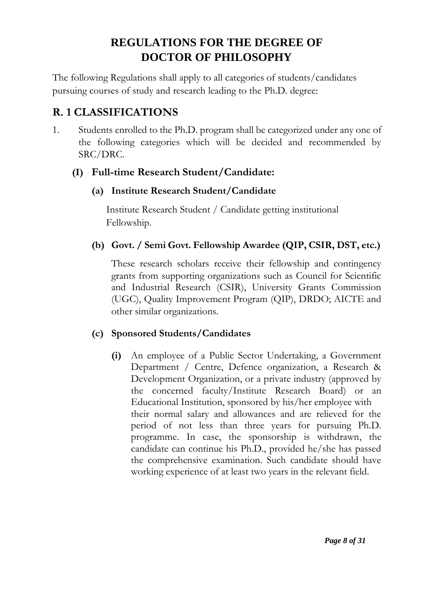# **REGULATIONS FOR THE DEGREE OF DOCTOR OF PHILOSOPHY**

The following Regulations shall apply to all categories of students/candidates pursuing courses of study and research leading to the Ph.D. degree:

# **R. 1 CLASSIFICATIONS**

1. Students enrolled to the Ph.D. program shall be categorized under any one of the following categories which will be decided and recommended by SRC/DRC.

### **(I) Full-time Research Student/Candidate:**

### **(a) Institute Research Student/Candidate**

Institute Research Student / Candidate getting institutional Fellowship.

### **(b) Govt. / Semi Govt. Fellowship Awardee (QIP, CSIR, DST, etc.)**

These research scholars receive their fellowship and contingency grants from supporting organizations such as Council for Scientific and Industrial Research (CSIR), University Grants Commission (UGC), Quality Improvement Program (QIP), DRDO; AICTE and other similar organizations.

#### **(c) Sponsored Students/Candidates**

**(i)** An employee of a Public Sector Undertaking, a Government Department / Centre, Defence organization, a Research & Development Organization, or a private industry (approved by the concerned faculty/Institute Research Board) or an Educational Institution, sponsored by his/her employee with their normal salary and allowances and are relieved for the period of not less than three years for pursuing Ph.D. programme. In case, the sponsorship is withdrawn, the candidate can continue his Ph.D., provided he/she has passed the comprehensive examination. Such candidate should have working experience of at least two years in the relevant field.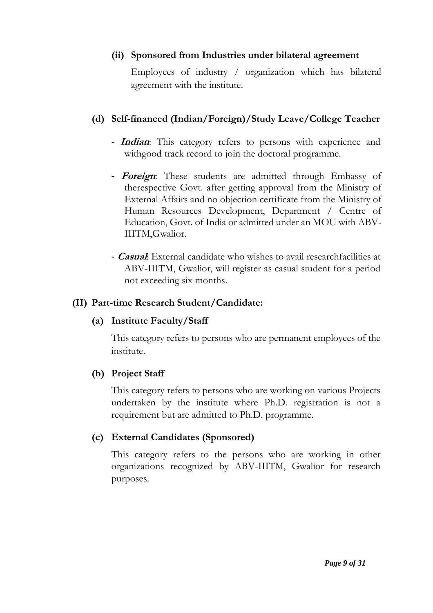#### **(ii) Sponsored from Industries under bilateral agreement**

Employees of industry / organization which has bilateral agreement with the institute.

#### **(d) Self-financed (Indian/Foreign)/Study Leave/College Teacher**

- **- Indian**: This category refers to persons with experience and withgood track record to join the doctoral programme.
- **- Foreign**: These students are admitted through Embassy of therespective Govt. after getting approval from the Ministry of External Affairs and no objection certificate from the Ministry of Human Resources Development, Department / Centre of Education, Govt. of India or admitted under an MOU with ABV-IIITM,Gwalior.
- **- Casual**: External candidate who wishes to avail researchfacilities at ABV-IIITM, Gwalior, will register as casual student for a period not exceeding six months.

#### **(II) Part-time Research Student/Candidate:**

#### **(a) Institute Faculty/Staff**

This category refers to persons who are permanent employees of the institute.

#### **(b) Project Staff**

This category refers to persons who are working on various Projects undertaken by the institute where Ph.D. registration is not a requirement but are admitted to Ph.D. programme.

#### **(c) External Candidates (Sponsored)**

This category refers to the persons who are working in other organizations recognized by ABV-IIITM, Gwalior for research purposes.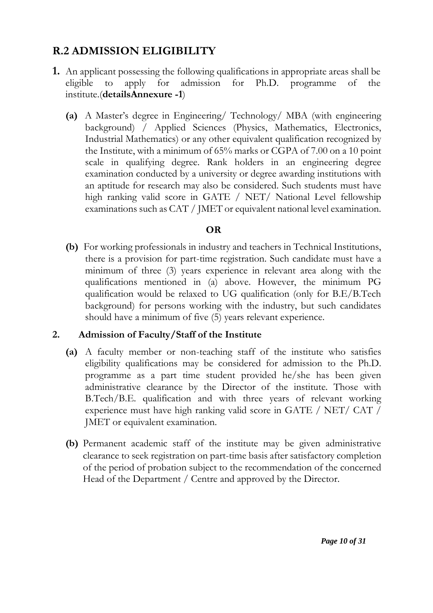# **R.2 ADMISSION ELIGIBILITY**

- **1.** An applicant possessing the following qualifications in appropriate areas shall be eligible to apply for admission for Ph.D. programme of the institute.(**detailsAnnexure -1**)
	- **(a)** A Master's degree in Engineering/ Technology/ MBA (with engineering background) / Applied Sciences (Physics, Mathematics, Electronics, Industrial Mathematics) or any other equivalent qualification recognized by the Institute, with a minimum of 65% marks or CGPA of 7.00 on a 10 point scale in qualifying degree. Rank holders in an engineering degree examination conducted by a university or degree awarding institutions with an aptitude for research may also be considered. Such students must have high ranking valid score in GATE / NET/ National Level fellowship examinations such as CAT / JMET or equivalent national level examination.

#### **OR**

**(b)** For working professionals in industry and teachers in Technical Institutions, there is a provision for part-time registration. Such candidate must have a minimum of three (3) years experience in relevant area along with the qualifications mentioned in (a) above. However, the minimum PG qualification would be relaxed to UG qualification (only for B.E/B.Tech background) for persons working with the industry, but such candidates should have a minimum of five (5) years relevant experience.

#### **2. Admission of Faculty/Staff of the Institute**

- **(a)** A faculty member or non-teaching staff of the institute who satisfies eligibility qualifications may be considered for admission to the Ph.D. programme as a part time student provided he/she has been given administrative clearance by the Director of the institute. Those with B.Tech/B.E. qualification and with three years of relevant working experience must have high ranking valid score in GATE / NET/ CAT / JMET or equivalent examination.
- **(b)** Permanent academic staff of the institute may be given administrative clearance to seek registration on part-time basis after satisfactory completion of the period of probation subject to the recommendation of the concerned Head of the Department / Centre and approved by the Director.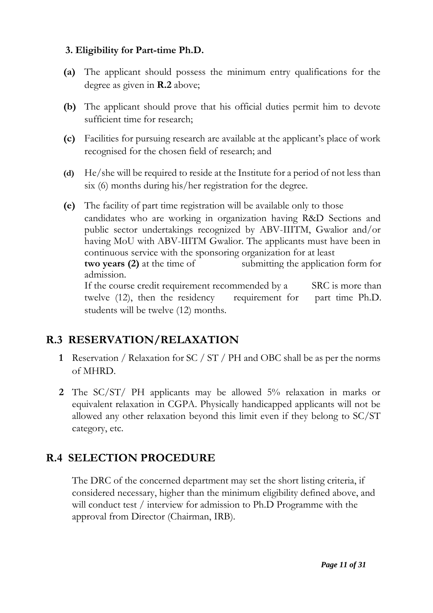#### **3. Eligibility for Part-time Ph.D.**

- **(a)** The applicant should possess the minimum entry qualifications for the degree as given in **R.2** above;
- **(b)** The applicant should prove that his official duties permit him to devote sufficient time for research;
- **(c)** Facilities for pursuing research are available at the applicant's place of work recognised for the chosen field of research; and
- **(d)** He/she will be required to reside at the Institute for a period of not less than six (6) months during his/her registration for the degree.
- **(e)** The facility of part time registration will be available only to those candidates who are working in organization having R&D Sections and public sector undertakings recognized by ABV-IIITM, Gwalior and/or having MoU with ABV-IIITM Gwalior. The applicants must have been in continuous service with the sponsoring organization for at least **two years (2)** at the time of submitting the application form for admission. If the course credit requirement recommended by a SRC is more than

twelve (12), then the residency requirement for part time Ph.D. students will be twelve (12) months.

# **R.3 RESERVATION/RELAXATION**

- **1** Reservation / Relaxation for SC / ST / PH and OBC shall be as per the norms of MHRD.
- **2** The SC/ST/ PH applicants may be allowed 5% relaxation in marks or equivalent relaxation in CGPA. Physically handicapped applicants will not be allowed any other relaxation beyond this limit even if they belong to SC/ST category, etc.

# **R.4 SELECTION PROCEDURE**

The DRC of the concerned department may set the short listing criteria, if considered necessary, higher than the minimum eligibility defined above, and will conduct test / interview for admission to Ph.D Programme with the approval from Director (Chairman, IRB).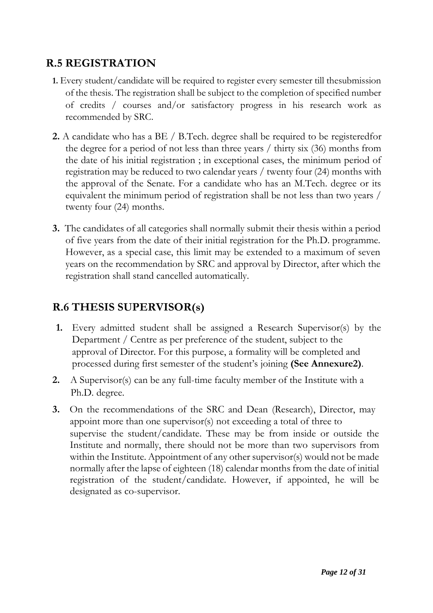## **R.5 REGISTRATION**

- **1.** Every student/candidate will be required to register every semester till thesubmission of the thesis. The registration shall be subject to the completion of specified number of credits / courses and/or satisfactory progress in his research work as recommended by SRC.
- **2.** A candidate who has a BE / B.Tech. degree shall be required to be registeredfor the degree for a period of not less than three years / thirty six (36) months from the date of his initial registration ; in exceptional cases, the minimum period of registration may be reduced to two calendar years / twenty four (24) months with the approval of the Senate. For a candidate who has an M.Tech. degree or its equivalent the minimum period of registration shall be not less than two years / twenty four (24) months.
- **3.** The candidates of all categories shall normally submit their thesis within a period of five years from the date of their initial registration for the Ph.D. programme. However, as a special case, this limit may be extended to a maximum of seven years on the recommendation by SRC and approval by Director, after which the registration shall stand cancelled automatically.

# **R.6 THESIS SUPERVISOR(s)**

- **1.** Every admitted student shall be assigned a Research Supervisor(s) by the Department / Centre as per preference of the student, subject to the approval of Director. For this purpose, a formality will be completed and processed during first semester of the student's joining **(See Annexure2)**.
- **2.** A Supervisor(s) can be any full-time faculty member of the Institute with a Ph.D. degree.
- **3.** On the recommendations of the SRC and Dean (Research), Director, may appoint more than one supervisor(s) not exceeding a total of three to supervise the student/candidate. These may be from inside or outside the Institute and normally, there should not be more than two supervisors from within the Institute. Appointment of any other supervisor(s) would not be made normally after the lapse of eighteen (18) calendar months from the date of initial registration of the student/candidate. However, if appointed, he will be designated as co-supervisor.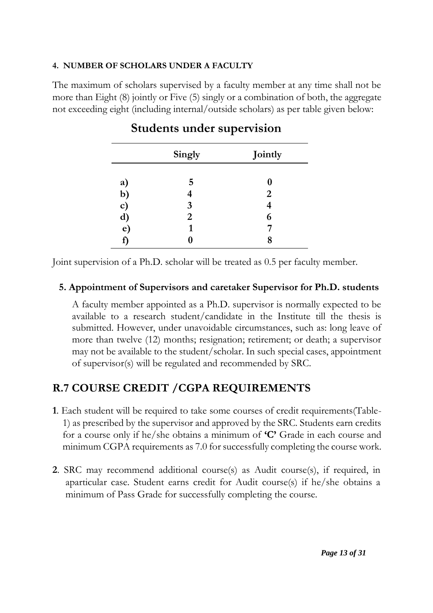#### **4. NUMBER OF SCHOLARS UNDER A FACULTY**

The maximum of scholars supervised by a faculty member at any time shall not be more than Eight (8) jointly or Five (5) singly or a combination of both, the aggregate not exceeding eight (including internal/outside scholars) as per table given below:

|          | Singly | Jointly        |
|----------|--------|----------------|
| a)       | 5      | O              |
| b)       |        | $\overline{2}$ |
| c)       | 3      |                |
|          | 2      | 6              |
| d)<br>e) |        |                |
| f)       |        | 8              |

# **Students under supervision**

Joint supervision of a Ph.D. scholar will be treated as 0.5 per faculty member.

#### **5. Appointment of Supervisors and caretaker Supervisor for Ph.D. students**

A faculty member appointed as a Ph.D. supervisor is normally expected to be available to a research student/candidate in the Institute till the thesis is submitted. However, under unavoidable circumstances, such as: long leave of more than twelve (12) months; resignation; retirement; or death; a supervisor may not be available to the student/scholar. In such special cases, appointment of supervisor(s) will be regulated and recommended by SRC.

# **R.7 COURSE CREDIT /CGPA REQUIREMENTS**

- **1**. Each student will be required to take some courses of credit requirements(Table-1) as prescribed by the supervisor and approved by the SRC. Students earn credits for a course only if he/she obtains a minimum of **'C'** Grade in each course and minimum CGPA requirements as 7.0 for successfully completing the course work.
- **2**. SRC may recommend additional course(s) as Audit course(s), if required, in aparticular case. Student earns credit for Audit course(s) if he/she obtains a minimum of Pass Grade for successfully completing the course.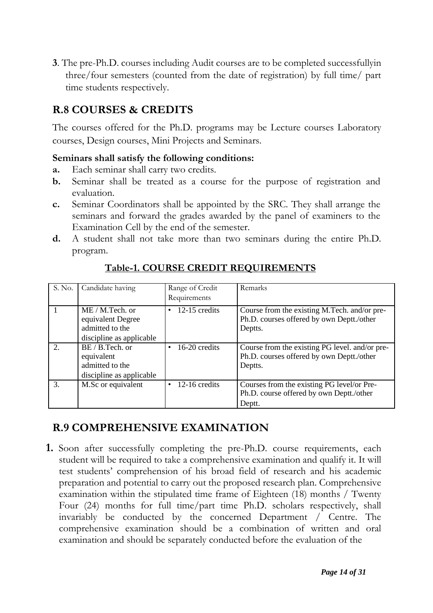**3**. The pre-Ph.D. courses including Audit courses are to be completed successfullyin three/four semesters (counted from the date of registration) by full time/ part time students respectively.

# **R.8 COURSES & CREDITS**

The courses offered for the Ph.D. programs may be Lecture courses Laboratory courses, Design courses, Mini Projects and Seminars.

#### **Seminars shall satisfy the following conditions:**

- **a.** Each seminar shall carry two credits.
- **b.** Seminar shall be treated as a course for the purpose of registration and evaluation.
- **c.** Seminar Coordinators shall be appointed by the SRC. They shall arrange the seminars and forward the grades awarded by the panel of examiners to the Examination Cell by the end of the semester.
- **d.** A student shall not take more than two seminars during the entire Ph.D. program.

| S. No. | Candidate having                                                                      | Range of Credit<br>Requirements | Remarks                                                                                                |
|--------|---------------------------------------------------------------------------------------|---------------------------------|--------------------------------------------------------------------------------------------------------|
|        | $ME / M.Tech.$ or<br>equivalent Degree<br>admitted to the<br>discipline as applicable | 12-15 credits<br>٠              | Course from the existing M.Tech. and/or pre-<br>Ph.D. courses offered by own Deptt./other<br>Deptts.   |
| 2.     | $BE / B$ . Tech. or<br>equivalent<br>admitted to the<br>discipline as applicable      | 16-20 credits<br>$\bullet$      | Course from the existing PG level. and/or pre-<br>Ph.D. courses offered by own Deptt./other<br>Deptts. |
| 3.     | M.Sc or equivalent                                                                    | 12-16 credits<br>$\bullet$      | Courses from the existing PG level/or Pre-<br>Ph.D. course offered by own Deptt./other<br>Deptt.       |

### **Table-1. COURSE CREDIT REQUIREMENTS**

## **R.9 COMPREHENSIVE EXAMINATION**

**1.** Soon after successfully completing the pre-Ph.D. course requirements, each student will be required to take a comprehensive examination and qualify it. It will test students' comprehension of his broad field of research and his academic preparation and potential to carry out the proposed research plan. Comprehensive examination within the stipulated time frame of Eighteen (18) months / Twenty Four (24) months for full time/part time Ph.D. scholars respectively, shall invariably be conducted by the concerned Department / Centre. The comprehensive examination should be a combination of written and oral examination and should be separately conducted before the evaluation of the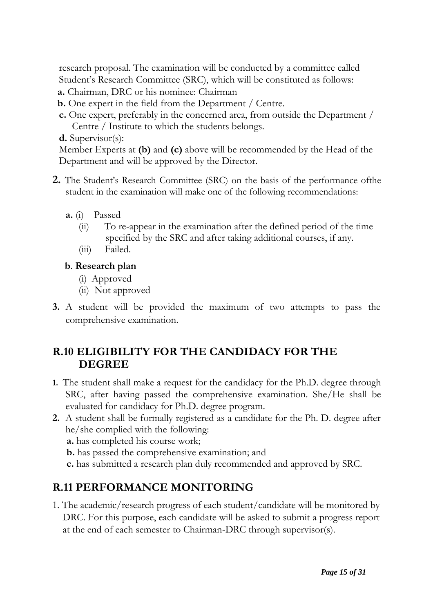research proposal. The examination will be conducted by a committee called Student's Research Committee (SRC), which will be constituted as follows:

- **a.** Chairman, DRC or his nominee: Chairman
- **b.** One expert in the field from the Department / Centre.
- **c.** One expert, preferably in the concerned area, from outside the Department / Centre / Institute to which the students belongs.
- **d.** Supervisor(s):

Member Experts at **(b)** and **(c)** above will be recommended by the Head of the Department and will be approved by the Director.

- **2.** The Student's Research Committee (SRC) on the basis of the performance ofthe student in the examination will make one of the following recommendations:
	- **a.** (i) Passed
		- (ii) To re-appear in the examination after the defined period of the time specified by the SRC and after taking additional courses, if any.
		- (iii) Failed.

#### **b**. **Research plan**

- (i) Approved
- (ii) Not approved
- **3.** A student will be provided the maximum of two attempts to pass the comprehensive examination.

## **R.10 ELIGIBILITY FOR THE CANDIDACY FOR THE DEGREE**

- **1.** The student shall make a request for the candidacy for the Ph.D. degree through SRC, after having passed the comprehensive examination. She/He shall be evaluated for candidacy for Ph.D. degree program.
- **2.** A student shall be formally registered as a candidate for the Ph. D. degree after he/she complied with the following:

**a.** has completed his course work;

**b.** has passed the comprehensive examination; and

**c.** has submitted a research plan duly recommended and approved by SRC.

# **R.11 PERFORMANCE MONITORING**

1. The academic/research progress of each student/candidate will be monitored by DRC. For this purpose, each candidate will be asked to submit a progress report at the end of each semester to Chairman-DRC through supervisor(s).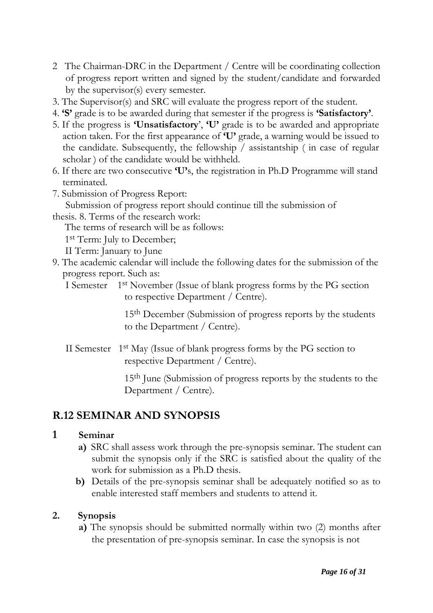- 2 The Chairman-DRC in the Department / Centre will be coordinating collection of progress report written and signed by the student/candidate and forwarded by the supervisor(s) every semester.
- 3. The Supervisor(s) and SRC will evaluate the progress report of the student.
- 4. **'S'** grade is to be awarded during that semester if the progress is **'Satisfactory'**.
- 5. If the progress is **'Unsatisfactory**', **'U'** grade is to be awarded and appropriate action taken. For the first appearance of **'U'** grade, a warning would be issued to the candidate. Subsequently, the fellowship / assistantship ( in case of regular scholar ) of the candidate would be withheld.
- 6. If there are two consecutive **'U'**s, the registration in Ph.D Programme will stand terminated.
- 7. Submission of Progress Report:

Submission of progress report should continue till the submission of

thesis. 8. Terms of the research work:

The terms of research will be as follows:

1<sup>st</sup> Term: July to December;

II Term: January to June

9. The academic calendar will include the following dates for the submission of the progress report. Such as:

I Semester 1st November (Issue of blank progress forms by the PG section to respective Department / Centre).

> 15th December (Submission of progress reports by the students to the Department / Centre).

II Semester 1st May (Issue of blank progress forms by the PG section to respective Department / Centre).

> 15th June (Submission of progress reports by the students to the Department / Centre).

## **R.12 SEMINAR AND SYNOPSIS**

#### **1 Seminar**

- **a)** SRC shall assess work through the pre-synopsis seminar. The student can submit the synopsis only if the SRC is satisfied about the quality of the work for submission as a Ph.D thesis.
- **b)** Details of the pre-synopsis seminar shall be adequately notified so as to enable interested staff members and students to attend it.

#### **2. Synopsis**

**a)** The synopsis should be submitted normally within two (2) months after the presentation of pre-synopsis seminar. In case the synopsis is not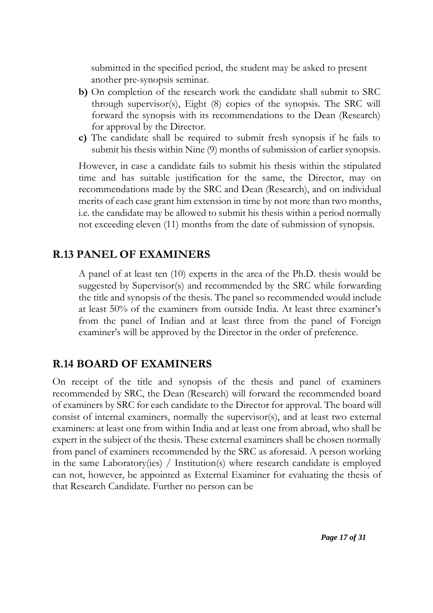submitted in the specified period, the student may be asked to present another pre-synopsis seminar.

- **b)** On completion of the research work the candidate shall submit to SRC through supervisor(s), Eight (8) copies of the synopsis. The SRC will forward the synopsis with its recommendations to the Dean (Research) for approval by the Director.
- **c)** The candidate shall be required to submit fresh synopsis if he fails to submit his thesis within Nine (9) months of submission of earlier synopsis.

However, in case a candidate fails to submit his thesis within the stipulated time and has suitable justification for the same, the Director, may on recommendations made by the SRC and Dean (Research), and on individual merits of each case grant him extension in time by not more than two months, i.e. the candidate may be allowed to submit his thesis within a period normally not exceeding eleven (11) months from the date of submission of synopsis.

### **R.13 PANEL OF EXAMINERS**

A panel of at least ten (10) experts in the area of the Ph.D. thesis would be suggested by Supervisor(s) and recommended by the SRC while forwarding the title and synopsis of the thesis. The panel so recommended would include at least 50% of the examiners from outside India. At least three examiner's from the panel of Indian and at least three from the panel of Foreign examiner's will be approved by the Director in the order of preference.

### **R.14 BOARD OF EXAMINERS**

On receipt of the title and synopsis of the thesis and panel of examiners recommended by SRC, the Dean (Research) will forward the recommended board of examiners by SRC for each candidate to the Director for approval. The board will consist of internal examiners, normally the supervisor(s), and at least two external examiners: at least one from within India and at least one from abroad, who shall be expert in the subject of the thesis. These external examiners shall be chosen normally from panel of examiners recommended by the SRC as aforesaid. A person working in the same Laboratory(ies) / Institution(s) where research candidate is employed can not, however, be appointed as External Examiner for evaluating the thesis of that Research Candidate. Further no person can be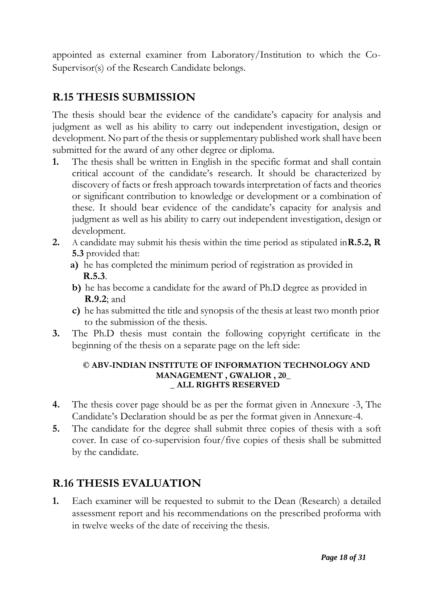appointed as external examiner from Laboratory/Institution to which the Co-Supervisor(s) of the Research Candidate belongs.

# **R.15 THESIS SUBMISSION**

The thesis should bear the evidence of the candidate's capacity for analysis and judgment as well as his ability to carry out independent investigation, design or development. No part of the thesis or supplementary published work shall have been submitted for the award of any other degree or diploma.

- **1.** The thesis shall be written in English in the specific format and shall contain critical account of the candidate's research. It should be characterized by discovery of facts or fresh approach towards interpretation of facts and theories or significant contribution to knowledge or development or a combination of these. It should bear evidence of the candidate's capacity for analysis and judgment as well as his ability to carry out independent investigation, design or development.
- **2.** A candidate may submit his thesis within the time period as stipulated in**R.5.2, R 5.3** provided that:
	- **a)** he has completed the minimum period of registration as provided in **R.5.3**.
	- **b)** he has become a candidate for the award of Ph.D degree as provided in **R.9.2**; and
	- **c)** he has submitted the title and synopsis of the thesis at least two month prior to the submission of the thesis.
- **3.** The Ph.D thesis must contain the following copyright certificate in the beginning of the thesis on a separate page on the left side:

#### **© ABV-INDIAN INSTITUTE OF INFORMATION TECHNOLOGY AND MANAGEMENT , GWALIOR , 20\_ \_ ALL RIGHTS RESERVED**

- **4.** The thesis cover page should be as per the format given in Annexure -3, The Candidate's Declaration should be as per the format given in Annexure-4.
- **5.** The candidate for the degree shall submit three copies of thesis with a soft cover. In case of co-supervision four/five copies of thesis shall be submitted by the candidate.

# **R.16 THESIS EVALUATION**

**1.** Each examiner will be requested to submit to the Dean (Research) a detailed assessment report and his recommendations on the prescribed proforma with in twelve weeks of the date of receiving the thesis.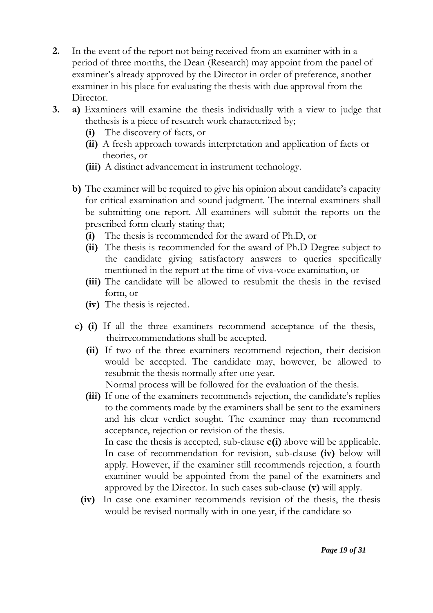- **2.** In the event of the report not being received from an examiner with in a period of three months, the Dean (Research) may appoint from the panel of examiner's already approved by the Director in order of preference, another examiner in his place for evaluating the thesis with due approval from the Director.
- **3. a)** Examiners will examine the thesis individually with a view to judge that thethesis is a piece of research work characterized by;
	- **(i)** The discovery of facts, or
	- **(ii)** A fresh approach towards interpretation and application of facts or theories, or
	- **(iii)** A distinct advancement in instrument technology.
	- **b)** The examiner will be required to give his opinion about candidate's capacity for critical examination and sound judgment. The internal examiners shall be submitting one report. All examiners will submit the reports on the prescribed form clearly stating that;
		- **(i)** The thesis is recommended for the award of Ph.D, or
		- **(ii)** The thesis is recommended for the award of Ph.D Degree subject to the candidate giving satisfactory answers to queries specifically mentioned in the report at the time of viva-voce examination, or
		- **(iii)** The candidate will be allowed to resubmit the thesis in the revised form, or
		- **(iv)** The thesis is rejected.
	- **c) (i)** If all the three examiners recommend acceptance of the thesis, theirrecommendations shall be accepted.
		- **(ii)** If two of the three examiners recommend rejection, their decision would be accepted. The candidate may, however, be allowed to resubmit the thesis normally after one year.

Normal process will be followed for the evaluation of the thesis.

**(iii)** If one of the examiners recommends rejection, the candidate's replies to the comments made by the examiners shall be sent to the examiners and his clear verdict sought. The examiner may than recommend acceptance, rejection or revision of the thesis.

In case the thesis is accepted, sub-clause **c(i)** above will be applicable. In case of recommendation for revision, sub-clause **(iv)** below will apply. However, if the examiner still recommends rejection, a fourth examiner would be appointed from the panel of the examiners and approved by the Director. In such cases sub-clause **(v)** will apply.

**(iv)** In case one examiner recommends revision of the thesis, the thesis would be revised normally with in one year, if the candidate so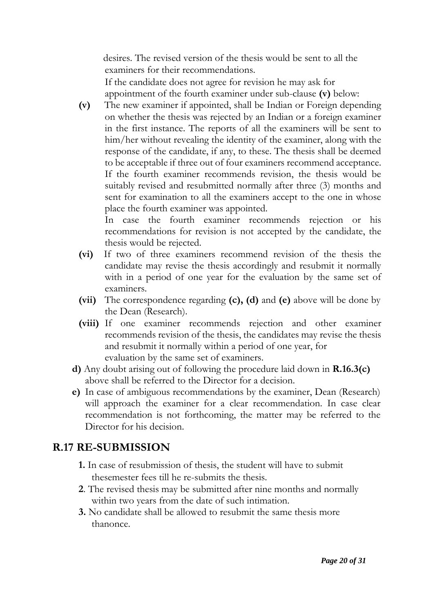desires. The revised version of the thesis would be sent to all the examiners for their recommendations. If the candidate does not agree for revision he may ask for

appointment of the fourth examiner under sub-clause **(v)** below:

**(v)** The new examiner if appointed, shall be Indian or Foreign depending on whether the thesis was rejected by an Indian or a foreign examiner in the first instance. The reports of all the examiners will be sent to him/her without revealing the identity of the examiner, along with the response of the candidate, if any, to these. The thesis shall be deemed to be acceptable if three out of four examiners recommend acceptance. If the fourth examiner recommends revision, the thesis would be suitably revised and resubmitted normally after three (3) months and sent for examination to all the examiners accept to the one in whose place the fourth examiner was appointed.

In case the fourth examiner recommends rejection or his recommendations for revision is not accepted by the candidate, the thesis would be rejected.

- **(vi)** If two of three examiners recommend revision of the thesis the candidate may revise the thesis accordingly and resubmit it normally with in a period of one year for the evaluation by the same set of examiners.
- **(vii)** The correspondence regarding **(c), (d)** and **(e)** above will be done by the Dean (Research).
- **(viii)** If one examiner recommends rejection and other examiner recommends revision of the thesis, the candidates may revise the thesis and resubmit it normally within a period of one year, for evaluation by the same set of examiners.
- **d)** Any doubt arising out of following the procedure laid down in **R.16.3(c)**  above shall be referred to the Director for a decision.
- **e)** In case of ambiguous recommendations by the examiner, Dean (Research) will approach the examiner for a clear recommendation. In case clear recommendation is not forthcoming, the matter may be referred to the Director for his decision.

## **R.17 RE-SUBMISSION**

- **1.** In case of resubmission of thesis, the student will have to submit thesemester fees till he re-submits the thesis.
- **2**. The revised thesis may be submitted after nine months and normally within two years from the date of such intimation.
- **3.** No candidate shall be allowed to resubmit the same thesis more thanonce.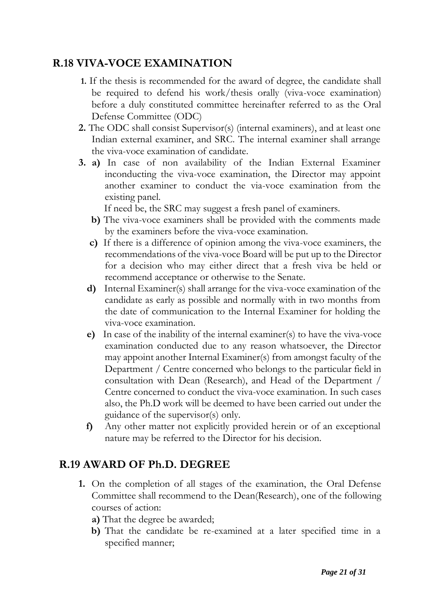### **R.18 VIVA-VOCE EXAMINATION**

- **1.** If the thesis is recommended for the award of degree, the candidate shall be required to defend his work/thesis orally (viva-voce examination) before a duly constituted committee hereinafter referred to as the Oral Defense Committee (ODC)
- **2.** The ODC shall consist Supervisor(s) (internal examiners), and at least one Indian external examiner, and SRC. The internal examiner shall arrange the viva-voce examination of candidate.
- **3. a)** In case of non availability of the Indian External Examiner inconducting the viva-voce examination, the Director may appoint another examiner to conduct the via-voce examination from the existing panel.

If need be, the SRC may suggest a fresh panel of examiners.

- **b)** The viva-voce examiners shall be provided with the comments made by the examiners before the viva-voce examination.
- **c)** If there is a difference of opinion among the viva-voce examiners, the recommendations of the viva-voce Board will be put up to the Director for a decision who may either direct that a fresh viva be held or recommend acceptance or otherwise to the Senate.
- **d)** Internal Examiner(s) shall arrange for the viva-voce examination of the candidate as early as possible and normally with in two months from the date of communication to the Internal Examiner for holding the viva-voce examination.
- **e)** In case of the inability of the internal examiner(s) to have the viva-voce examination conducted due to any reason whatsoever, the Director may appoint another Internal Examiner(s) from amongst faculty of the Department / Centre concerned who belongs to the particular field in consultation with Dean (Research), and Head of the Department / Centre concerned to conduct the viva-voce examination. In such cases also, the Ph.D work will be deemed to have been carried out under the guidance of the supervisor(s) only.
- **f)** Any other matter not explicitly provided herein or of an exceptional nature may be referred to the Director for his decision.

## **R.19 AWARD OF Ph.D. DEGREE**

- **1.** On the completion of all stages of the examination, the Oral Defense Committee shall recommend to the Dean(Research), one of the following courses of action:
	- **a)** That the degree be awarded;
	- **b)** That the candidate be re-examined at a later specified time in a specified manner;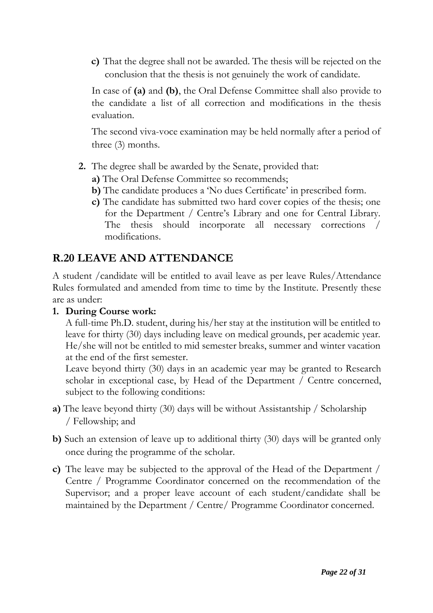**c)** That the degree shall not be awarded. The thesis will be rejected on the conclusion that the thesis is not genuinely the work of candidate.

In case of **(a)** and **(b)**, the Oral Defense Committee shall also provide to the candidate a list of all correction and modifications in the thesis evaluation.

The second viva-voce examination may be held normally after a period of three (3) months.

- **2.** The degree shall be awarded by the Senate, provided that:
	- **a)** The Oral Defense Committee so recommends;
	- **b)** The candidate produces a 'No dues Certificate' in prescribed form.
	- **c)** The candidate has submitted two hard cover copies of the thesis; one for the Department / Centre's Library and one for Central Library. The thesis should incorporate all necessary corrections / modifications.

## **R.20 LEAVE AND ATTENDANCE**

A student /candidate will be entitled to avail leave as per leave Rules/Attendance Rules formulated and amended from time to time by the Institute. Presently these are as under:

#### **1. During Course work:**

A full-time Ph.D. student, during his/her stay at the institution will be entitled to leave for thirty (30) days including leave on medical grounds, per academic year. He/she will not be entitled to mid semester breaks, summer and winter vacation at the end of the first semester.

Leave beyond thirty (30) days in an academic year may be granted to Research scholar in exceptional case, by Head of the Department / Centre concerned, subject to the following conditions:

- **a)** The leave beyond thirty (30) days will be without Assistantship / Scholarship / Fellowship; and
- **b)** Such an extension of leave up to additional thirty (30) days will be granted only once during the programme of the scholar.
- **c)** The leave may be subjected to the approval of the Head of the Department / Centre / Programme Coordinator concerned on the recommendation of the Supervisor; and a proper leave account of each student/candidate shall be maintained by the Department / Centre/ Programme Coordinator concerned.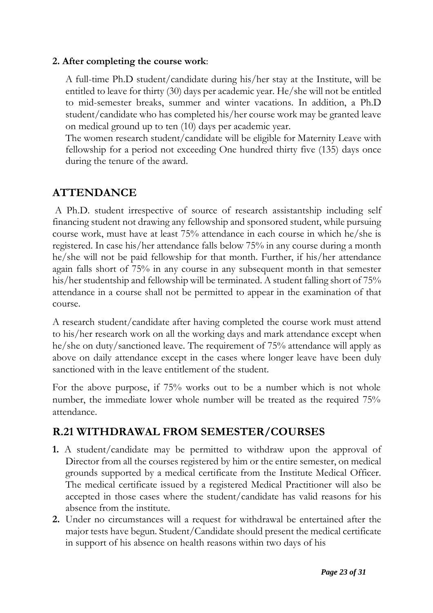#### **2. After completing the course work**:

A full-time Ph.D student/candidate during his/her stay at the Institute, will be entitled to leave for thirty (30) days per academic year. He/she will not be entitled to mid-semester breaks, summer and winter vacations. In addition, a Ph.D student/candidate who has completed his/her course work may be granted leave on medical ground up to ten (10) days per academic year.

The women research student/candidate will be eligible for Maternity Leave with fellowship for a period not exceeding One hundred thirty five (135) days once during the tenure of the award.

### **ATTENDANCE**

A Ph.D. student irrespective of source of research assistantship including self financing student not drawing any fellowship and sponsored student, while pursuing course work, must have at least 75% attendance in each course in which he/she is registered. In case his/her attendance falls below 75% in any course during a month he/she will not be paid fellowship for that month. Further, if his/her attendance again falls short of 75% in any course in any subsequent month in that semester his/her studentship and fellowship will be terminated. A student falling short of 75% attendance in a course shall not be permitted to appear in the examination of that course.

A research student/candidate after having completed the course work must attend to his/her research work on all the working days and mark attendance except when he/she on duty/sanctioned leave. The requirement of 75% attendance will apply as above on daily attendance except in the cases where longer leave have been duly sanctioned with in the leave entitlement of the student.

For the above purpose, if 75% works out to be a number which is not whole number, the immediate lower whole number will be treated as the required  $75\%$ attendance.

# **R.21 WITHDRAWAL FROM SEMESTER/COURSES**

- **1.** A student/candidate may be permitted to withdraw upon the approval of Director from all the courses registered by him or the entire semester, on medical grounds supported by a medical certificate from the Institute Medical Officer. The medical certificate issued by a registered Medical Practitioner will also be accepted in those cases where the student/candidate has valid reasons for his absence from the institute.
- **2.** Under no circumstances will a request for withdrawal be entertained after the major tests have begun. Student/Candidate should present the medical certificate in support of his absence on health reasons within two days of his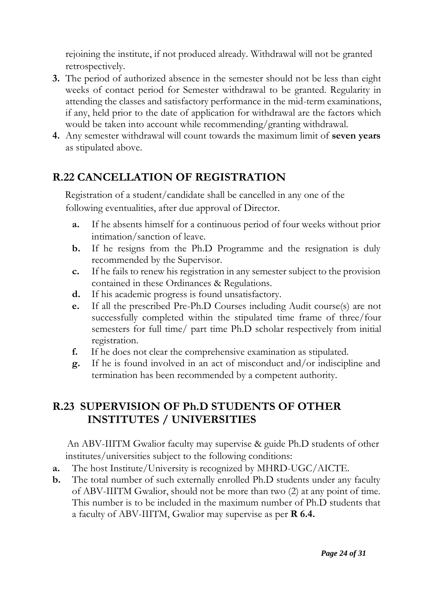rejoining the institute, if not produced already. Withdrawal will not be granted retrospectively.

- **3.** The period of authorized absence in the semester should not be less than eight weeks of contact period for Semester withdrawal to be granted. Regularity in attending the classes and satisfactory performance in the mid-term examinations, if any, held prior to the date of application for withdrawal are the factors which would be taken into account while recommending/granting withdrawal.
- **4.** Any semester withdrawal will count towards the maximum limit of **seven years** as stipulated above.

# **R.22 CANCELLATION OF REGISTRATION**

Registration of a student/candidate shall be cancelled in any one of the following eventualities, after due approval of Director.

- **a.** If he absents himself for a continuous period of four weeks without prior intimation/sanction of leave.
- **b.** If he resigns from the Ph.D Programme and the resignation is duly recommended by the Supervisor.
- **c.** If he fails to renew his registration in any semester subject to the provision contained in these Ordinances & Regulations.
- **d.** If his academic progress is found unsatisfactory.
- **e.** If all the prescribed Pre-Ph.D Courses including Audit course(s) are not successfully completed within the stipulated time frame of three/four semesters for full time/ part time Ph.D scholar respectively from initial registration.
- **f.** If he does not clear the comprehensive examination as stipulated.
- **g.** If he is found involved in an act of misconduct and/or indiscipline and termination has been recommended by a competent authority.

# **R.23 SUPERVISION OF Ph.D STUDENTS OF OTHER INSTITUTES / UNIVERSITIES**

An ABV-IIITM Gwalior faculty may supervise & guide Ph.D students of other institutes/universities subject to the following conditions:

- **a.** The host Institute/University is recognized by MHRD-UGC/AICTE.
- **b.** The total number of such externally enrolled Ph.D students under any faculty of ABV-IIITM Gwalior, should not be more than two (2) at any point of time. This number is to be included in the maximum number of Ph.D students that a faculty of ABV-IIITM, Gwalior may supervise as per **R 6.4.**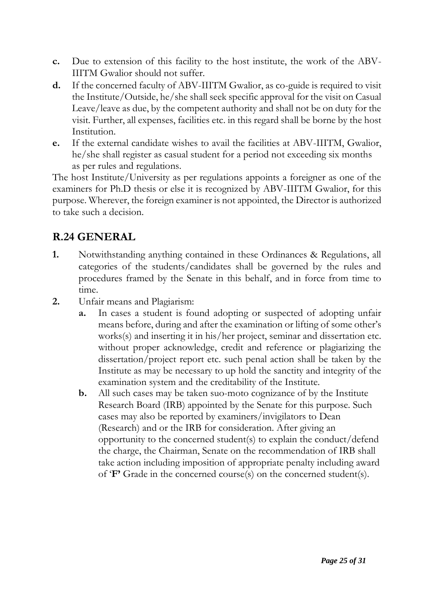- **c.** Due to extension of this facility to the host institute, the work of the ABV-IIITM Gwalior should not suffer.
- **d.** If the concerned faculty of ABV-IIITM Gwalior, as co-guide is required to visit the Institute/Outside, he/she shall seek specific approval for the visit on Casual Leave/leave as due, by the competent authority and shall not be on duty for the visit. Further, all expenses, facilities etc. in this regard shall be borne by the host Institution.
- **e.** If the external candidate wishes to avail the facilities at ABV-IIITM, Gwalior, he/she shall register as casual student for a period not exceeding six months as per rules and regulations.

The host Institute/University as per regulations appoints a foreigner as one of the examiners for Ph.D thesis or else it is recognized by ABV-IIITM Gwalior, for this purpose. Wherever, the foreign examiner is not appointed, the Director is authorized to take such a decision.

# **R.24 GENERAL**

- **1.** Notwithstanding anything contained in these Ordinances & Regulations, all categories of the students/candidates shall be governed by the rules and procedures framed by the Senate in this behalf, and in force from time to time.
- **2.** Unfair means and Plagiarism:
	- **a.** In cases a student is found adopting or suspected of adopting unfair means before, during and after the examination or lifting of some other's works(s) and inserting it in his/her project, seminar and dissertation etc. without proper acknowledge, credit and reference or plagiarizing the dissertation/project report etc. such penal action shall be taken by the Institute as may be necessary to up hold the sanctity and integrity of the examination system and the creditability of the Institute.
	- **b.** All such cases may be taken suo-moto cognizance of by the Institute Research Board (IRB) appointed by the Senate for this purpose. Such cases may also be reported by examiners/invigilators to Dean (Research) and or the IRB for consideration. After giving an opportunity to the concerned student(s) to explain the conduct/defend the charge, the Chairman, Senate on the recommendation of IRB shall take action including imposition of appropriate penalty including award of '**F'** Grade in the concerned course(s) on the concerned student(s).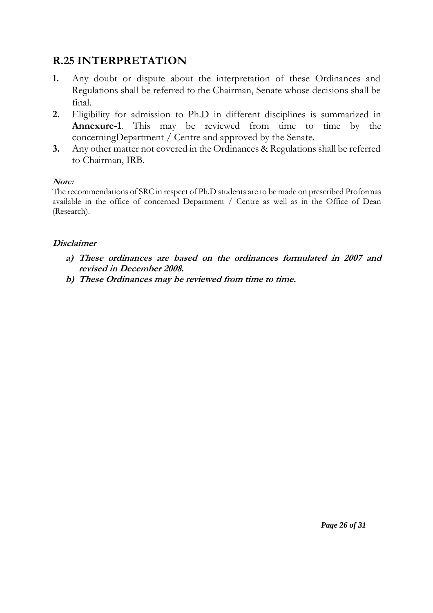# **R.25 INTERPRETATION**

- **1.** Any doubt or dispute about the interpretation of these Ordinances and Regulations shall be referred to the Chairman, Senate whose decisions shall be final.
- **2.** Eligibility for admission to Ph.D in different disciplines is summarized in **Annexure-1**. This may be reviewed from time to time by the concerningDepartment / Centre and approved by the Senate.
- **3.** Any other matter not covered in the Ordinances & Regulations shall be referred to Chairman, IRB.

#### **Note:**

The recommendations of SRC in respect of Ph.D students are to be made on prescribed Proformas available in the office of concerned Department / Centre as well as in the Office of Dean (Research).

#### **Disclaimer**

- **a) These ordinances are based on the ordinances formulated in 2007 and revised in December 2008.**
- **b) These Ordinances may be reviewed from time to time.**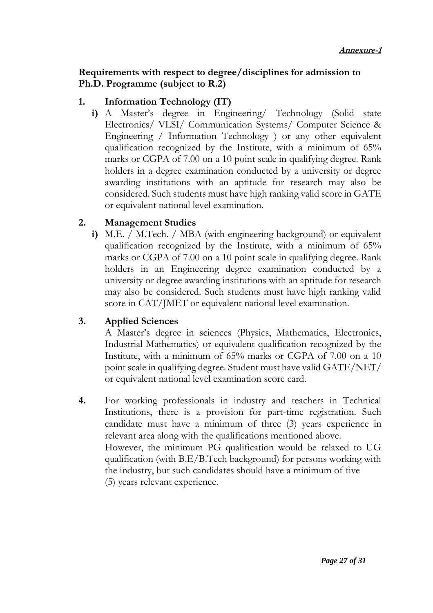#### **Requirements with respect to degree/disciplines for admission to Ph.D. Programme (subject to R.2)**

#### **1. Information Technology (IT)**

**i)** A Master's degree in Engineering/ Technology (Solid state Electronics/ VLSI/ Communication Systems/ Computer Science & Engineering / Information Technology ) or any other equivalent qualification recognized by the Institute, with a minimum of 65% marks or CGPA of 7.00 on a 10 point scale in qualifying degree. Rank holders in a degree examination conducted by a university or degree awarding institutions with an aptitude for research may also be considered. Such students must have high ranking valid score in GATE or equivalent national level examination.

#### **2. Management Studies**

**i)** M.E. / M.Tech. / MBA (with engineering background) or equivalent qualification recognized by the Institute, with a minimum of 65% marks or CGPA of 7.00 on a 10 point scale in qualifying degree. Rank holders in an Engineering degree examination conducted by a university or degree awarding institutions with an aptitude for research may also be considered. Such students must have high ranking valid score in CAT/JMET or equivalent national level examination.

#### **3. Applied Sciences**

A Master's degree in sciences (Physics, Mathematics, Electronics, Industrial Mathematics) or equivalent qualification recognized by the Institute, with a minimum of 65% marks or CGPA of 7.00 on a 10 point scale in qualifying degree. Student must have valid GATE/NET/ or equivalent national level examination score card.

**4.** For working professionals in industry and teachers in Technical Institutions, there is a provision for part-time registration. Such candidate must have a minimum of three (3) years experience in relevant area along with the qualifications mentioned above. However, the minimum PG qualification would be relaxed to UG qualification (with B.E/B.Tech background) for persons working with the industry, but such candidates should have a minimum of five (5) years relevant experience.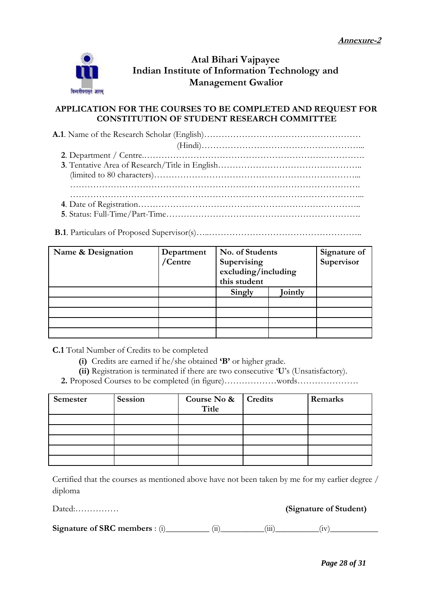

#### **Atal Bihari Vajpayee Indian Institute of Information Technology and Management Gwalior**

#### **APPLICATION FOR THE COURSES TO BE COMPLETED AND REQUEST FOR CONSTITUTION OF STUDENT RESEARCH COMMITTEE**

**A.1**. Name of the Research Scholar (English)……………………………………………… (Hindi)………………………………………………... **2**. Department / Centre.…………………………………………………………………. **3**. Tentative Area of Research/Title in English………………………………………….. (limited to 80 characters)……………………………………………………………... ………………………………………………………………………………………. ………………………………………………………………………………………... **4**. Date of Registration………………………………………………………………….. **5**. Status: Full-Time/Part-Time………………………………………………………….

**B.1**. Particulars of Proposed Supervisor(s)…..……………………………………………..

| Name & Designation | Department<br>/Centre | No. of Students<br>Supervising<br>excluding/including<br>this student |         | Signature of<br>Supervisor |
|--------------------|-----------------------|-----------------------------------------------------------------------|---------|----------------------------|
|                    |                       | Singly                                                                | Jointly |                            |
|                    |                       |                                                                       |         |                            |
|                    |                       |                                                                       |         |                            |
|                    |                       |                                                                       |         |                            |
|                    |                       |                                                                       |         |                            |

**C.1** Total Number of Credits to be completed

- **(i)** Credits are earned if he/she obtained **'B'** or higher grade.
- **(ii)** Registration is terminated if there are two consecutive '**U**'s (Unsatisfactory).
- **2.** Proposed Courses to be completed (in figure)………………words…………………

| Semester | Session | Course No & Credits<br>Title | Remarks |
|----------|---------|------------------------------|---------|
|          |         |                              |         |
|          |         |                              |         |
|          |         |                              |         |
|          |         |                              |         |
|          |         |                              |         |

Certified that the courses as mentioned above have not been taken by me for my earlier degree / diploma

Dated:…………… **(Signature of Student)**

**Signature of SRC members** : (i)\_\_\_\_\_\_\_\_\_\_ (ii)\_\_\_\_\_\_\_\_\_\_(iii)\_\_\_\_\_\_\_\_\_\_(iv)\_\_\_\_\_\_\_\_\_\_\_

*Page 28 of 31*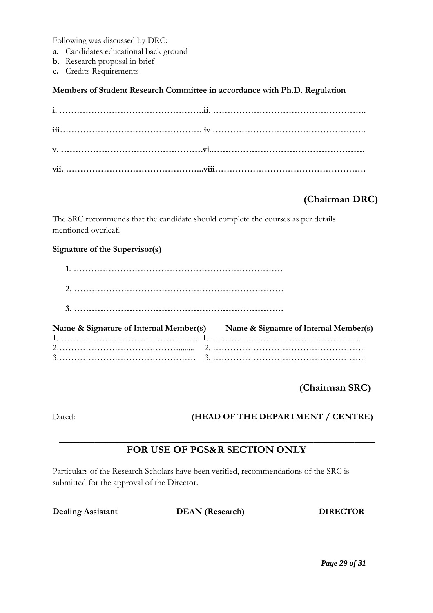Following was discussed by DRC:

- **a.** Candidates educational back ground
- **b.** Research proposal in brief
- **c.** Credits Requirements

**Members of Student Research Committee in accordance with Ph.D. Regulation**

#### **(Chairman DRC)**

The SRC recommends that the candidate should complete the courses as per details mentioned overleaf.

#### **Signature of the Supervisor(s)**

| Name & Signature of Internal Member(s) Name & Signature of Internal Member(s) |
|-------------------------------------------------------------------------------|
|                                                                               |
|                                                                               |

**(Chairman SRC)**

#### Dated: **(HEAD OF THE DEPARTMENT / CENTRE)**

#### **\_\_\_\_\_\_\_\_\_\_\_\_\_\_\_\_\_\_\_\_\_\_\_\_\_\_\_\_\_\_\_\_\_\_\_\_\_\_\_\_\_\_\_\_\_\_\_\_\_\_\_\_\_\_\_\_\_\_\_\_\_\_ FOR USE OF PGS&R SECTION ONLY**

Particulars of the Research Scholars have been verified, recommendations of the SRC is submitted for the approval of the Director.

**Dealing Assistant DEAN (Research) DIRECTOR**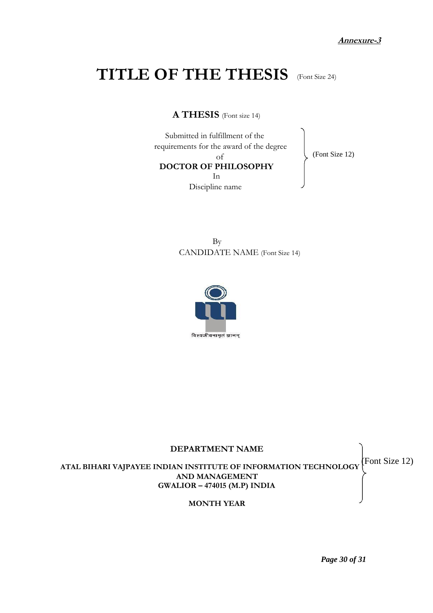**Annexure-3**

# **TITLE OF THE THESIS** (Font Size 24)

**A THESIS** (Font size 14)

Submitted in fulfillment of the requirements for the award of the degree of **DOCTOR OF PHILOSOPHY** In Discipline name

(Font Size 12)

By CANDIDATE NAME (Font Size 14)





*Page 30 of 31*